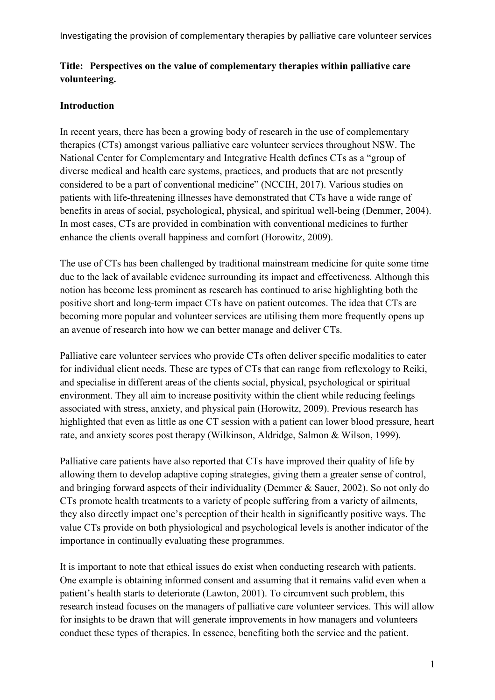# **Title: Perspectives on the value of complementary therapies within palliative care volunteering.**

## **Introduction**

In recent years, there has been a growing body of research in the use of complementary therapies (CTs) amongst various palliative care volunteer services throughout NSW. The National Center for Complementary and Integrative Health defines CTs as a "group of diverse medical and health care systems, practices, and products that are not presently considered to be a part of conventional medicine" (NCCIH, 2017). Various studies on patients with life-threatening illnesses have demonstrated that CTs have a wide range of benefits in areas of social, psychological, physical, and spiritual well-being (Demmer, 2004). In most cases, CTs are provided in combination with conventional medicines to further enhance the clients overall happiness and comfort (Horowitz, 2009).

The use of CTs has been challenged by traditional mainstream medicine for quite some time due to the lack of available evidence surrounding its impact and effectiveness. Although this notion has become less prominent as research has continued to arise highlighting both the positive short and long-term impact CTs have on patient outcomes. The idea that CTs are becoming more popular and volunteer services are utilising them more frequently opens up an avenue of research into how we can better manage and deliver CTs.

Palliative care volunteer services who provide CTs often deliver specific modalities to cater for individual client needs. These are types of CTs that can range from reflexology to Reiki, and specialise in different areas of the clients social, physical, psychological or spiritual environment. They all aim to increase positivity within the client while reducing feelings associated with stress, anxiety, and physical pain (Horowitz, 2009). Previous research has highlighted that even as little as one CT session with a patient can lower blood pressure, heart rate, and anxiety scores post therapy (Wilkinson, Aldridge, Salmon & Wilson, 1999).

Palliative care patients have also reported that CTs have improved their quality of life by allowing them to develop adaptive coping strategies, giving them a greater sense of control, and bringing forward aspects of their individuality (Demmer & Sauer, 2002). So not only do CTs promote health treatments to a variety of people suffering from a variety of ailments, they also directly impact one's perception of their health in significantly positive ways. The value CTs provide on both physiological and psychological levels is another indicator of the importance in continually evaluating these programmes.

It is important to note that ethical issues do exist when conducting research with patients. One example is obtaining informed consent and assuming that it remains valid even when a patient's health starts to deteriorate (Lawton, 2001). To circumvent such problem, this research instead focuses on the managers of palliative care volunteer services. This will allow for insights to be drawn that will generate improvements in how managers and volunteers conduct these types of therapies. In essence, benefiting both the service and the patient.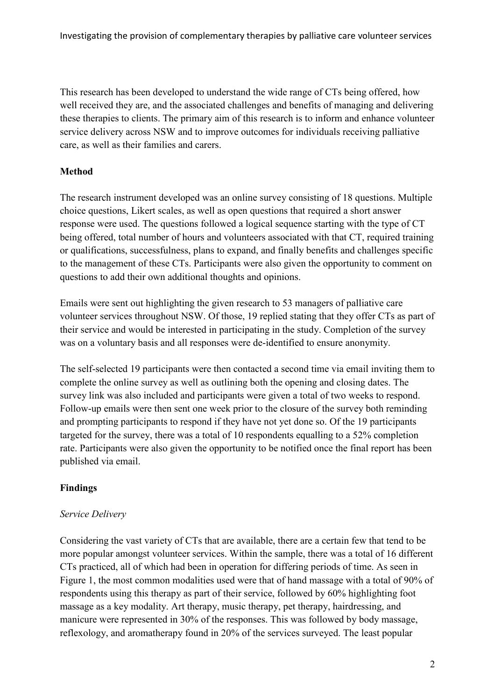This research has been developed to understand the wide range of CTs being offered, how well received they are, and the associated challenges and benefits of managing and delivering these therapies to clients. The primary aim of this research is to inform and enhance volunteer service delivery across NSW and to improve outcomes for individuals receiving palliative care, as well as their families and carers.

## **Method**

The research instrument developed was an online survey consisting of 18 questions. Multiple choice questions, Likert scales, as well as open questions that required a short answer response were used. The questions followed a logical sequence starting with the type of CT being offered, total number of hours and volunteers associated with that CT, required training or qualifications, successfulness, plans to expand, and finally benefits and challenges specific to the management of these CTs. Participants were also given the opportunity to comment on questions to add their own additional thoughts and opinions.

Emails were sent out highlighting the given research to 53 managers of palliative care volunteer services throughout NSW. Of those, 19 replied stating that they offer CTs as part of their service and would be interested in participating in the study. Completion of the survey was on a voluntary basis and all responses were de-identified to ensure anonymity.

The self-selected 19 participants were then contacted a second time via email inviting them to complete the online survey as well as outlining both the opening and closing dates. The survey link was also included and participants were given a total of two weeks to respond. Follow-up emails were then sent one week prior to the closure of the survey both reminding and prompting participants to respond if they have not yet done so. Of the 19 participants targeted for the survey, there was a total of 10 respondents equalling to a 52% completion rate. Participants were also given the opportunity to be notified once the final report has been published via email.

## **Findings**

### *Service Delivery*

Considering the vast variety of CTs that are available, there are a certain few that tend to be more popular amongst volunteer services. Within the sample, there was a total of 16 different CTs practiced, all of which had been in operation for differing periods of time. As seen in Figure 1, the most common modalities used were that of hand massage with a total of 90% of respondents using this therapy as part of their service, followed by 60% highlighting foot massage as a key modality. Art therapy, music therapy, pet therapy, hairdressing, and manicure were represented in 30% of the responses. This was followed by body massage, reflexology, and aromatherapy found in 20% of the services surveyed. The least popular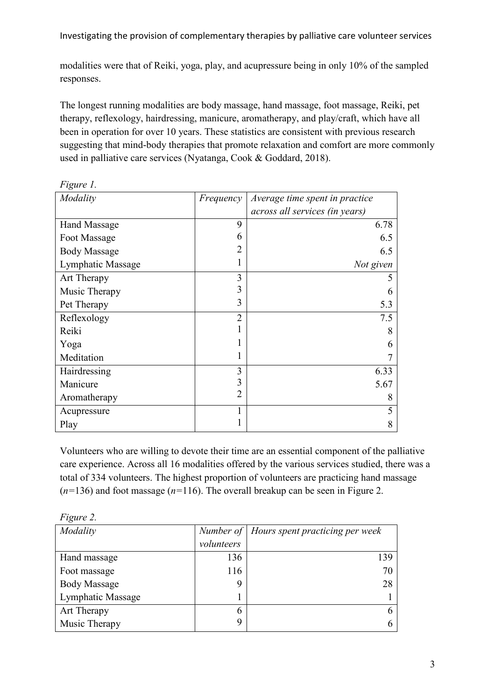modalities were that of Reiki, yoga, play, and acupressure being in only 10% of the sampled responses.

The longest running modalities are body massage, hand massage, foot massage, Reiki, pet therapy, reflexology, hairdressing, manicure, aromatherapy, and play/craft, which have all been in operation for over 10 years. These statistics are consistent with previous research suggesting that mind-body therapies that promote relaxation and comfort are more commonly used in palliative care services (Nyatanga, Cook & Goddard, 2018).

| Modality            | Frequency      | Average time spent in practice |
|---------------------|----------------|--------------------------------|
|                     |                | across all services (in years) |
| <b>Hand Massage</b> | 9              | 6.78                           |
| Foot Massage        | 6              | 6.5                            |
| <b>Body Massage</b> | 2              | 6.5                            |
| Lymphatic Massage   |                | Not given                      |
| Art Therapy         | 3              |                                |
| Music Therapy       | 3              | 6                              |
| Pet Therapy         | 3              | 5.3                            |
| Reflexology         | $\overline{2}$ | 7.5                            |
| Reiki               |                | 8                              |
| Yoga                |                | 6                              |
| Meditation          |                |                                |
| Hairdressing        | 3              | 6.33                           |
| Manicure            | 3              | 5.67                           |
| Aromatherapy        | $\overline{2}$ | 8                              |
| Acupressure         |                | 5                              |
| Play                |                | 8                              |

*Figure 1.*

Volunteers who are willing to devote their time are an essential component of the palliative care experience. Across all 16 modalities offered by the various services studied, there was a total of 334 volunteers. The highest proportion of volunteers are practicing hand massage (*n=*136) and foot massage (*n=*116). The overall breakup can be seen in Figure 2.

| $1 \nu \xi$ ur $\zeta$ $\zeta$ . |            |                                             |
|----------------------------------|------------|---------------------------------------------|
| Modality                         |            | Number of   Hours spent practicing per week |
|                                  | volunteers |                                             |
| Hand massage                     | 136        | 139                                         |
| Foot massage                     | 116        | 70                                          |
| <b>Body Massage</b>              | 9          | 28                                          |
| Lymphatic Massage                |            |                                             |
| Art Therapy                      | 6          |                                             |
| Music Therapy                    | 9          | h                                           |

*Figure 2.*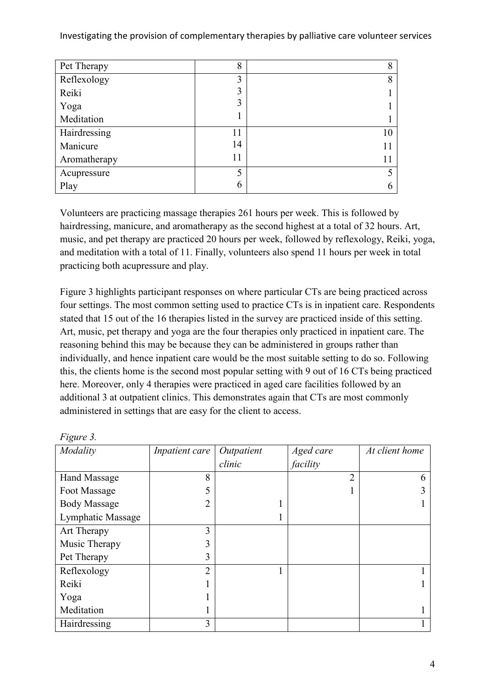| Pet Therapy  | 8  | 8  |
|--------------|----|----|
| Reflexology  | 3  | 8  |
| Reiki        | 3  |    |
| Yoga         | 3  |    |
| Meditation   | 1  |    |
| Hairdressing | 11 | 10 |
| Manicure     | 14 |    |
| Aromatherapy | 11 |    |
| Acupressure  | 5  |    |
| Play         | 6  |    |

Volunteers are practicing massage therapies 261 hours per week. This is followed by hairdressing, manicure, and aromatherapy as the second highest at a total of 32 hours. Art, music, and pet therapy are practiced 20 hours per week, followed by reflexology, Reiki, yoga, and meditation with a total of 11. Finally, volunteers also spend 11 hours per week in total practicing both acupressure and play.

Figure 3 highlights participant responses on where particular CTs are being practiced across four settings. The most common setting used to practice CTs is in inpatient care. Respondents stated that 15 out of the 16 therapies listed in the survey are practiced inside of this setting. Art, music, pet therapy and yoga are the four therapies only practiced in inpatient care. The reasoning behind this may be because they can be administered in groups rather than individually, and hence inpatient care would be the most suitable setting to do so. Following this, the clients home is the second most popular setting with 9 out of 16 CTs being practiced here. Moreover, only 4 therapies were practiced in aged care facilities followed by an additional 3 at outpatient clinics. This demonstrates again that CTs are most commonly administered in settings that are easy for the client to access.

| Modality            | Inpatient care | Outpatient | Aged care      | At client home |
|---------------------|----------------|------------|----------------|----------------|
|                     |                | clinic     | facility       |                |
| <b>Hand Massage</b> | 8              |            | $\overline{2}$ | h              |
| Foot Massage        | 5              |            |                |                |
| <b>Body Massage</b> | 2              |            |                |                |
| Lymphatic Massage   |                |            |                |                |
| Art Therapy         | 3              |            |                |                |
| Music Therapy       | 3              |            |                |                |
| Pet Therapy         | 3              |            |                |                |
| Reflexology         | $\overline{2}$ |            |                |                |
| Reiki               |                |            |                |                |
| Yoga                |                |            |                |                |
| Meditation          |                |            |                |                |
| Hairdressing        | 3              |            |                |                |

*Figure 3.*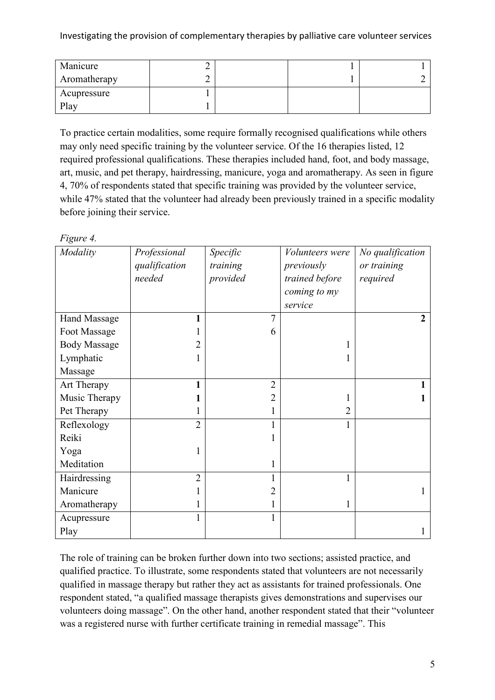| Manicure     | ∼ |  |  |
|--------------|---|--|--|
| Aromatherapy | ∼ |  |  |
| Acupressure  |   |  |  |
| Play         |   |  |  |

To practice certain modalities, some require formally recognised qualifications while others may only need specific training by the volunteer service. Of the 16 therapies listed, 12 required professional qualifications. These therapies included hand, foot, and body massage, art, music, and pet therapy, hairdressing, manicure, yoga and aromatherapy. As seen in figure 4, 70% of respondents stated that specific training was provided by the volunteer service, while 47% stated that the volunteer had already been previously trained in a specific modality before joining their service.

| Figure 4.           |                |                |                 |                  |
|---------------------|----------------|----------------|-----------------|------------------|
| Modality            | Professional   | Specific       | Volunteers were | No qualification |
|                     | qualification  | training       | previously      | or training      |
|                     | needed         | provided       | trained before  | required         |
|                     |                |                | coming to my    |                  |
|                     |                |                | service         |                  |
| <b>Hand Massage</b> | 1              | 7              |                 | $\overline{2}$   |
| Foot Massage        |                | 6              |                 |                  |
| <b>Body Massage</b> | 2              |                | 1               |                  |
| Lymphatic           | 1              |                | 1               |                  |
| Massage             |                |                |                 |                  |
| Art Therapy         | 1              | $\overline{2}$ |                 |                  |
| Music Therapy       | 1              | $\overline{2}$ | 1               |                  |
| Pet Therapy         | 1              | 1              | $\overline{2}$  |                  |
| Reflexology         | $\overline{2}$ |                | $\mathbf{1}$    |                  |
| Reiki               |                |                |                 |                  |
| Yoga                | 1              |                |                 |                  |
| Meditation          |                | 1              |                 |                  |
| Hairdressing        | $\overline{2}$ |                | 1               |                  |
| Manicure            |                | 2              |                 |                  |
| Aromatherapy        |                |                | 1               |                  |
| Acupressure         | 1              | 1              |                 |                  |
| Play                |                |                |                 |                  |

The role of training can be broken further down into two sections; assisted practice, and qualified practice. To illustrate, some respondents stated that volunteers are not necessarily qualified in massage therapy but rather they act as assistants for trained professionals. One respondent stated, "a qualified massage therapists gives demonstrations and supervises our volunteers doing massage". On the other hand, another respondent stated that their "volunteer was a registered nurse with further certificate training in remedial massage". This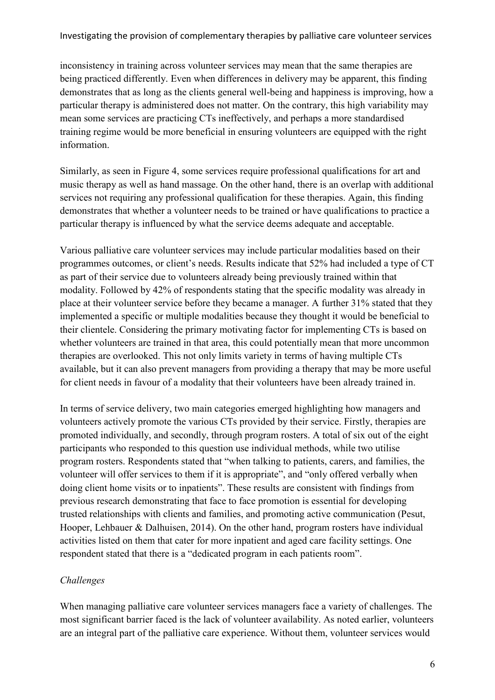inconsistency in training across volunteer services may mean that the same therapies are being practiced differently. Even when differences in delivery may be apparent, this finding demonstrates that as long as the clients general well-being and happiness is improving, how a particular therapy is administered does not matter. On the contrary, this high variability may mean some services are practicing CTs ineffectively, and perhaps a more standardised training regime would be more beneficial in ensuring volunteers are equipped with the right information.

Similarly, as seen in Figure 4, some services require professional qualifications for art and music therapy as well as hand massage. On the other hand, there is an overlap with additional services not requiring any professional qualification for these therapies. Again, this finding demonstrates that whether a volunteer needs to be trained or have qualifications to practice a particular therapy is influenced by what the service deems adequate and acceptable.

Various palliative care volunteer services may include particular modalities based on their programmes outcomes, or client's needs. Results indicate that 52% had included a type of CT as part of their service due to volunteers already being previously trained within that modality. Followed by 42% of respondents stating that the specific modality was already in place at their volunteer service before they became a manager. A further 31% stated that they implemented a specific or multiple modalities because they thought it would be beneficial to their clientele. Considering the primary motivating factor for implementing CTs is based on whether volunteers are trained in that area, this could potentially mean that more uncommon therapies are overlooked. This not only limits variety in terms of having multiple CTs available, but it can also prevent managers from providing a therapy that may be more useful for client needs in favour of a modality that their volunteers have been already trained in.

In terms of service delivery, two main categories emerged highlighting how managers and volunteers actively promote the various CTs provided by their service. Firstly, therapies are promoted individually, and secondly, through program rosters. A total of six out of the eight participants who responded to this question use individual methods, while two utilise program rosters. Respondents stated that "when talking to patients, carers, and families, the volunteer will offer services to them if it is appropriate", and "only offered verbally when doing client home visits or to inpatients". These results are consistent with findings from previous research demonstrating that face to face promotion is essential for developing trusted relationships with clients and families, and promoting active communication (Pesut, Hooper, Lehbauer & Dalhuisen, 2014). On the other hand, program rosters have individual activities listed on them that cater for more inpatient and aged care facility settings. One respondent stated that there is a "dedicated program in each patients room".

## *Challenges*

When managing palliative care volunteer services managers face a variety of challenges. The most significant barrier faced is the lack of volunteer availability. As noted earlier, volunteers are an integral part of the palliative care experience. Without them, volunteer services would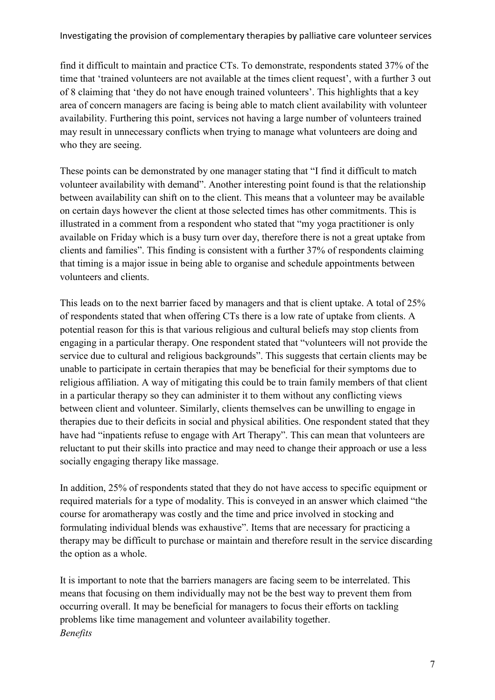find it difficult to maintain and practice CTs. To demonstrate, respondents stated 37% of the time that 'trained volunteers are not available at the times client request', with a further 3 out of 8 claiming that 'they do not have enough trained volunteers'. This highlights that a key area of concern managers are facing is being able to match client availability with volunteer availability. Furthering this point, services not having a large number of volunteers trained may result in unnecessary conflicts when trying to manage what volunteers are doing and who they are seeing.

These points can be demonstrated by one manager stating that "I find it difficult to match volunteer availability with demand". Another interesting point found is that the relationship between availability can shift on to the client. This means that a volunteer may be available on certain days however the client at those selected times has other commitments. This is illustrated in a comment from a respondent who stated that "my yoga practitioner is only available on Friday which is a busy turn over day, therefore there is not a great uptake from clients and families". This finding is consistent with a further 37% of respondents claiming that timing is a major issue in being able to organise and schedule appointments between volunteers and clients.

This leads on to the next barrier faced by managers and that is client uptake. A total of 25% of respondents stated that when offering CTs there is a low rate of uptake from clients. A potential reason for this is that various religious and cultural beliefs may stop clients from engaging in a particular therapy. One respondent stated that "volunteers will not provide the service due to cultural and religious backgrounds". This suggests that certain clients may be unable to participate in certain therapies that may be beneficial for their symptoms due to religious affiliation. A way of mitigating this could be to train family members of that client in a particular therapy so they can administer it to them without any conflicting views between client and volunteer. Similarly, clients themselves can be unwilling to engage in therapies due to their deficits in social and physical abilities. One respondent stated that they have had "inpatients refuse to engage with Art Therapy". This can mean that volunteers are reluctant to put their skills into practice and may need to change their approach or use a less socially engaging therapy like massage.

In addition, 25% of respondents stated that they do not have access to specific equipment or required materials for a type of modality. This is conveyed in an answer which claimed "the course for aromatherapy was costly and the time and price involved in stocking and formulating individual blends was exhaustive". Items that are necessary for practicing a therapy may be difficult to purchase or maintain and therefore result in the service discarding the option as a whole.

It is important to note that the barriers managers are facing seem to be interrelated. This means that focusing on them individually may not be the best way to prevent them from occurring overall. It may be beneficial for managers to focus their efforts on tackling problems like time management and volunteer availability together. *Benefits*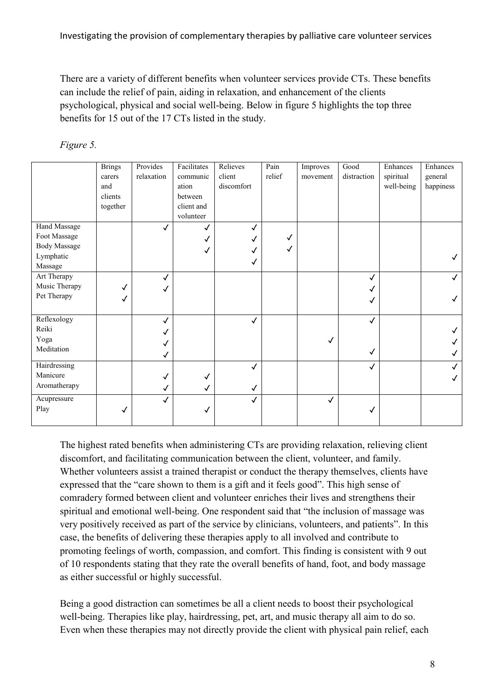There are a variety of different benefits when volunteer services provide CTs. These benefits can include the relief of pain, aiding in relaxation, and enhancement of the clients psychological, physical and social well-being. Below in figure 5 highlights the top three benefits for 15 out of the 17 CTs listed in the study.

|                     | <b>Brings</b> | Provides   | Facilitates  | Relieves     | Pain   | Improves     | Good         | Enhances   | Enhances  |
|---------------------|---------------|------------|--------------|--------------|--------|--------------|--------------|------------|-----------|
|                     | carers        | relaxation | communic     | client       | relief | movement     | distraction  | spiritual  | general   |
|                     | and           |            | ation        | discomfort   |        |              |              | well-being | happiness |
|                     | clients       |            | between      |              |        |              |              |            |           |
|                     | together      |            | client and   |              |        |              |              |            |           |
|                     |               |            | volunteer    |              |        |              |              |            |           |
| Hand Massage        |               | √          | √            |              |        |              |              |            |           |
| Foot Massage        |               |            |              |              |        |              |              |            |           |
| <b>Body Massage</b> |               |            | $\checkmark$ |              |        |              |              |            |           |
| Lymphatic           |               |            |              | ✓            |        |              |              |            |           |
| Massage             |               |            |              |              |        |              |              |            |           |
| Art Therapy         |               |            |              |              |        |              | $\checkmark$ |            |           |
| Music Therapy       |               |            |              |              |        |              |              |            |           |
| Pet Therapy         | √             |            |              |              |        |              | √            |            |           |
|                     |               |            |              |              |        |              |              |            |           |
| Reflexology         |               |            |              | $\checkmark$ |        |              | $\checkmark$ |            |           |
| Reiki               |               |            |              |              |        |              |              |            |           |
| Yoga                |               |            |              |              |        | ✓            |              |            |           |
| Meditation          |               |            |              |              |        |              | √            |            |           |
|                     |               |            |              |              |        |              |              |            |           |
| Hairdressing        |               |            |              | ✓            |        |              | ✓            |            |           |
| Manicure            |               |            | √            |              |        |              |              |            |           |
| Aromatherapy        |               |            | √            | √            |        |              |              |            |           |
| Acupressure         |               |            |              |              |        | $\checkmark$ |              |            |           |
| Play                | ✓             |            | √            |              |        |              | √            |            |           |
|                     |               |            |              |              |        |              |              |            |           |

# *Figure 5.*

The highest rated benefits when administering CTs are providing relaxation, relieving client discomfort, and facilitating communication between the client, volunteer, and family. Whether volunteers assist a trained therapist or conduct the therapy themselves, clients have expressed that the "care shown to them is a gift and it feels good". This high sense of comradery formed between client and volunteer enriches their lives and strengthens their spiritual and emotional well-being. One respondent said that "the inclusion of massage was very positively received as part of the service by clinicians, volunteers, and patients". In this case, the benefits of delivering these therapies apply to all involved and contribute to promoting feelings of worth, compassion, and comfort. This finding is consistent with 9 out of 10 respondents stating that they rate the overall benefits of hand, foot, and body massage as either successful or highly successful.

Being a good distraction can sometimes be all a client needs to boost their psychological well-being. Therapies like play, hairdressing, pet, art, and music therapy all aim to do so. Even when these therapies may not directly provide the client with physical pain relief, each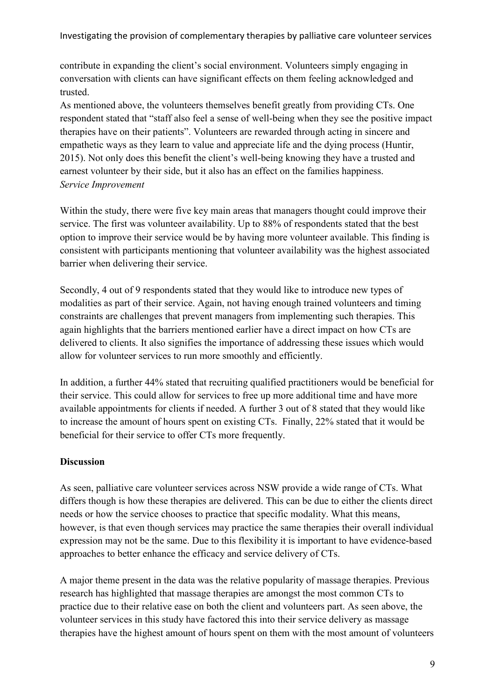contribute in expanding the client's social environment. Volunteers simply engaging in conversation with clients can have significant effects on them feeling acknowledged and trusted.

As mentioned above, the volunteers themselves benefit greatly from providing CTs. One respondent stated that "staff also feel a sense of well-being when they see the positive impact therapies have on their patients". Volunteers are rewarded through acting in sincere and empathetic ways as they learn to value and appreciate life and the dying process (Huntir, 2015). Not only does this benefit the client's well-being knowing they have a trusted and earnest volunteer by their side, but it also has an effect on the families happiness. *Service Improvement* 

Within the study, there were five key main areas that managers thought could improve their service. The first was volunteer availability. Up to 88% of respondents stated that the best option to improve their service would be by having more volunteer available. This finding is consistent with participants mentioning that volunteer availability was the highest associated barrier when delivering their service.

Secondly, 4 out of 9 respondents stated that they would like to introduce new types of modalities as part of their service. Again, not having enough trained volunteers and timing constraints are challenges that prevent managers from implementing such therapies. This again highlights that the barriers mentioned earlier have a direct impact on how CTs are delivered to clients. It also signifies the importance of addressing these issues which would allow for volunteer services to run more smoothly and efficiently.

In addition, a further 44% stated that recruiting qualified practitioners would be beneficial for their service. This could allow for services to free up more additional time and have more available appointments for clients if needed. A further 3 out of 8 stated that they would like to increase the amount of hours spent on existing CTs. Finally, 22% stated that it would be beneficial for their service to offer CTs more frequently.

### **Discussion**

As seen, palliative care volunteer services across NSW provide a wide range of CTs. What differs though is how these therapies are delivered. This can be due to either the clients direct needs or how the service chooses to practice that specific modality. What this means, however, is that even though services may practice the same therapies their overall individual expression may not be the same. Due to this flexibility it is important to have evidence-based approaches to better enhance the efficacy and service delivery of CTs.

A major theme present in the data was the relative popularity of massage therapies. Previous research has highlighted that massage therapies are amongst the most common CTs to practice due to their relative ease on both the client and volunteers part. As seen above, the volunteer services in this study have factored this into their service delivery as massage therapies have the highest amount of hours spent on them with the most amount of volunteers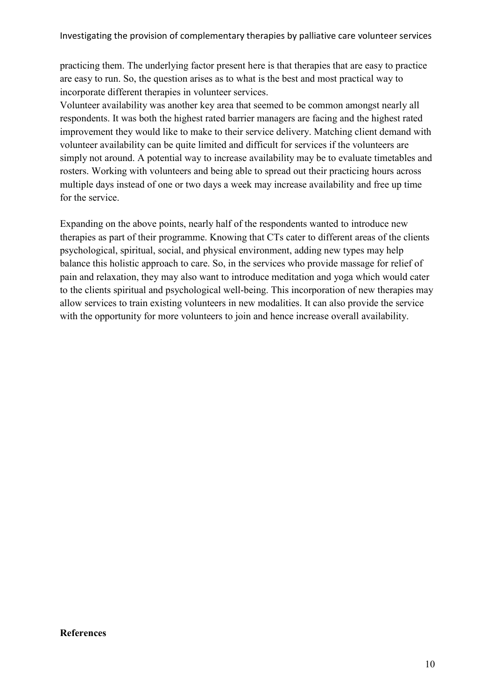practicing them. The underlying factor present here is that therapies that are easy to practice are easy to run. So, the question arises as to what is the best and most practical way to incorporate different therapies in volunteer services.

Volunteer availability was another key area that seemed to be common amongst nearly all respondents. It was both the highest rated barrier managers are facing and the highest rated improvement they would like to make to their service delivery. Matching client demand with volunteer availability can be quite limited and difficult for services if the volunteers are simply not around. A potential way to increase availability may be to evaluate timetables and rosters. Working with volunteers and being able to spread out their practicing hours across multiple days instead of one or two days a week may increase availability and free up time for the service.

Expanding on the above points, nearly half of the respondents wanted to introduce new therapies as part of their programme. Knowing that CTs cater to different areas of the clients psychological, spiritual, social, and physical environment, adding new types may help balance this holistic approach to care. So, in the services who provide massage for relief of pain and relaxation, they may also want to introduce meditation and yoga which would cater to the clients spiritual and psychological well-being. This incorporation of new therapies may allow services to train existing volunteers in new modalities. It can also provide the service with the opportunity for more volunteers to join and hence increase overall availability.